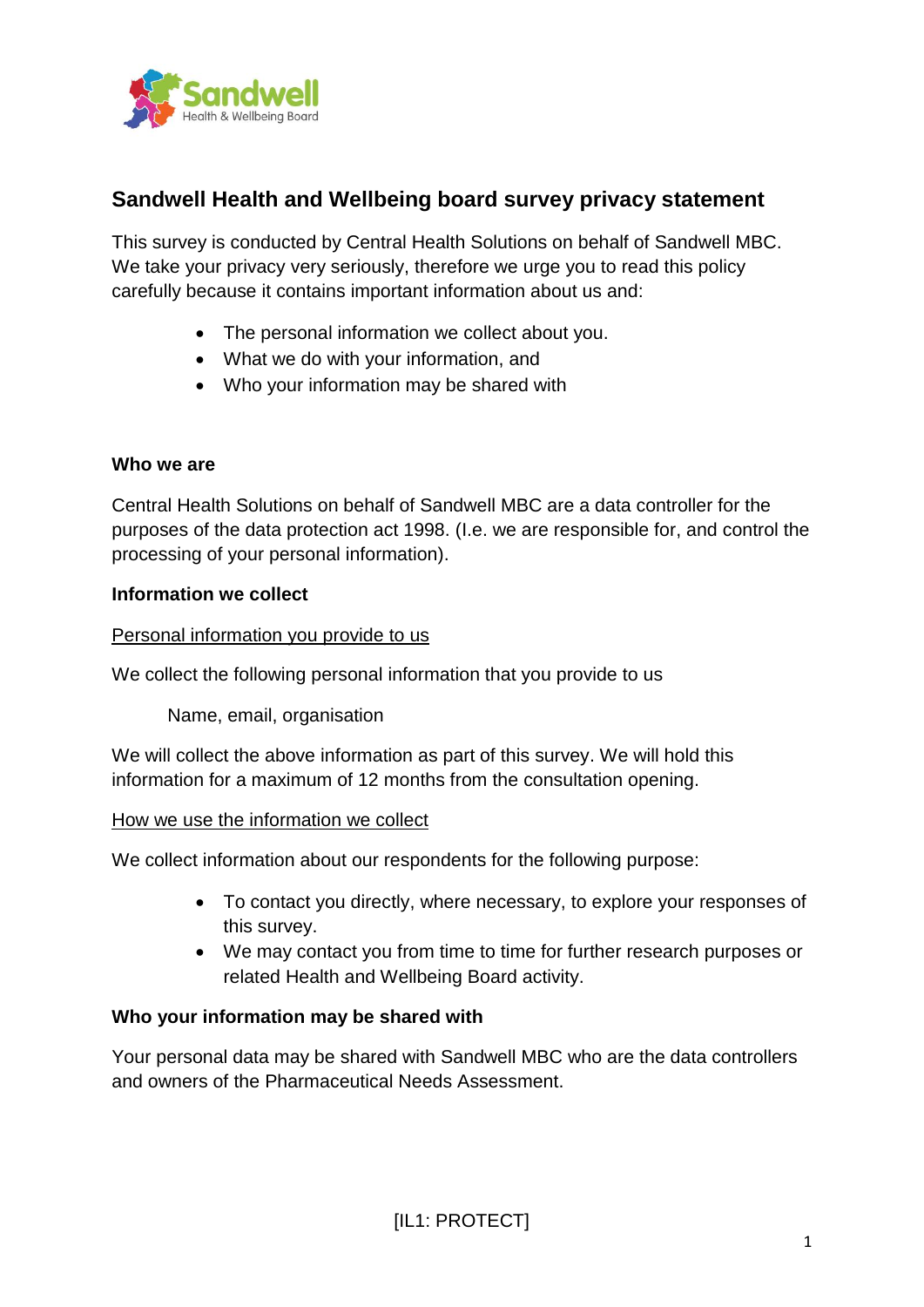

# **Sandwell Health and Wellbeing board survey privacy statement**

This survey is conducted by Central Health Solutions on behalf of Sandwell MBC. We take your privacy very seriously, therefore we urge you to read this policy carefully because it contains important information about us and:

- The personal information we collect about you.
- What we do with your information, and
- Who your information may be shared with

## **Who we are**

Central Health Solutions on behalf of Sandwell MBC are a data controller for the purposes of the data protection act 1998. (I.e. we are responsible for, and control the processing of your personal information).

## **Information we collect**

## Personal information you provide to us

We collect the following personal information that you provide to us

Name, email, organisation

We will collect the above information as part of this survey. We will hold this information for a maximum of 12 months from the consultation opening.

## How we use the information we collect

We collect information about our respondents for the following purpose:

- To contact you directly, where necessary, to explore your responses of this survey.
- We may contact you from time to time for further research purposes or related Health and Wellbeing Board activity.

## **Who your information may be shared with**

Your personal data may be shared with Sandwell MBC who are the data controllers and owners of the Pharmaceutical Needs Assessment.